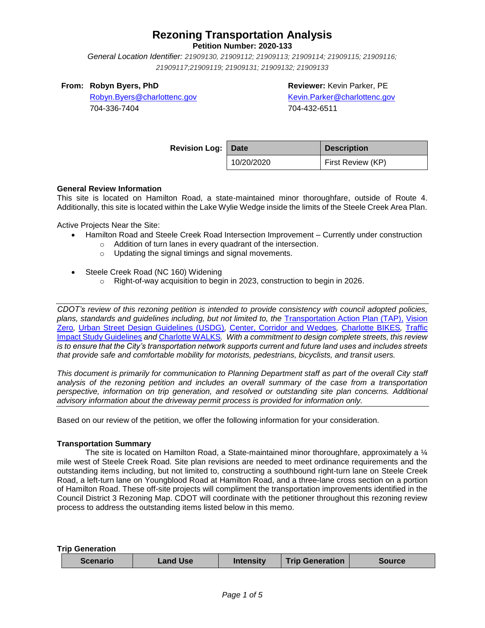**Petition Number: 2020-133**

*General Location Identifier: [21909130, 21909112; 21909113; 21909114; 21909115; 21909116;](https://charlotte-prod-av.accela.com/portlets/parcel/parcelList.do?mode=list&entityType=PARCEL_DAILY&module=Planning&spaceName=spaces.rzp2020133)  [21909117;21909119; 21909131; 21909132; 21909133](https://charlotte-prod-av.accela.com/portlets/parcel/parcelList.do?mode=list&entityType=PARCEL_DAILY&module=Planning&spaceName=spaces.rzp2020133)*

## **From: Robyn Byers, PhD**

**Reviewer:** Kevin Parker, PE

[Robyn.Byers@charlottenc.gov](mailto:Robyn.Byers@charlottenc.gov) 704-336-7404

[Kevin.Parker@charlottenc.gov](mailto:Kevin.Parker@charlottenc.gov) 704-432-6511

| <b>Revision Log: Date</b> |            | <b>Description</b> |  |
|---------------------------|------------|--------------------|--|
|                           | 10/20/2020 | First Review (KP)  |  |

## **General Review Information**

This site is located on Hamilton Road, a state-maintained minor thoroughfare, outside of Route 4. Additionally, this site is located within the Lake Wylie Wedge inside the limits of the Steele Creek Area Plan.

Active Projects Near the Site:

- Hamilton Road and Steele Creek Road Intersection Improvement Currently under construction
	- o Addition of turn lanes in every quadrant of the intersection.
	- o Updating the signal timings and signal movements.
- Steele Creek Road (NC 160) Widening
	- o Right-of-way acquisition to begin in 2023, construction to begin in 2026.

*CDOT's review of this rezoning petition is intended to provide consistency with council adopted policies, plans, standards and guidelines including, but not limited to, the* [Transportation Action Plan \(TAP\),](https://charlottenc.gov/Transportation/Programs/Pages/TransportationActionPlan.aspx) [Vision](https://charlottenc.gov/VisionZero/Pages/VisionZero.aspx)  [Zero](https://charlottenc.gov/VisionZero/Pages/VisionZero.aspx)*,* [Urban Street Design Guidelines \(USDG\)](https://charlottenc.gov/Transportation/PlansProjects/Documents/USDG%20Full%20Document.pdf)*,* [Center, Corridor and Wedges](http://ww.charmeck.org/Planning/Land%20Use%20Planning/CentersCorridorsWedges/CentersCorridorsWedges(Adopted).pdf)*,* [Charlotte BIKES](https://charlottenc.gov/Transportation/Programs/Pages/Bicycle.aspx)*,* [Traffic](https://charlottenc.gov/Transportation/Permits/Documents/TISProcessandGuildlines.pdf)  [Impact Study Guidelines](https://charlottenc.gov/Transportation/Permits/Documents/TISProcessandGuildlines.pdf) *and* [Charlotte WALKS](https://charlottenc.gov/Transportation/Programs/Pages/CharlotteWalks.aspx)*. With a commitment to design complete streets, this review is to ensure that the City's transportation network supports current and future land uses and includes streets that provide safe and comfortable mobility for motorists, pedestrians, bicyclists, and transit users.*

*This document is primarily for communication to Planning Department staff as part of the overall City staff analysis of the rezoning petition and includes an overall summary of the case from a transportation perspective, information on trip generation, and resolved or outstanding site plan concerns. Additional advisory information about the driveway permit process is provided for information only.*

Based on our review of the petition, we offer the following information for your consideration.

### **Transportation Summary**

The site is located on Hamilton Road, a State-maintained minor thoroughfare, approximately a 1/4 mile west of Steele Creek Road. Site plan revisions are needed to meet ordinance requirements and the outstanding items including, but not limited to, constructing a southbound right-turn lane on Steele Creek Road, a left-turn lane on Youngblood Road at Hamilton Road, and a three-lane cross section on a portion of Hamilton Road. These off-site projects will compliment the transportation improvements identified in the Council District 3 Rezoning Map. CDOT will coordinate with the petitioner throughout this rezoning review process to address the outstanding items listed below in this memo.

**Trip Generation**

| <b>Land Use</b><br><b>Scenario</b> | <b>Intensity</b> | <b>Trip Generation</b> | Source |
|------------------------------------|------------------|------------------------|--------|
|------------------------------------|------------------|------------------------|--------|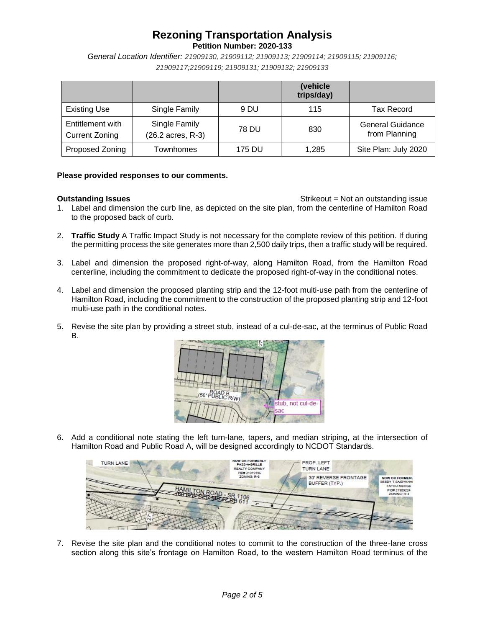**Petition Number: 2020-133**

*General Location Identifier: [21909130, 21909112; 21909113; 21909114; 21909115; 21909116;](https://charlotte-prod-av.accela.com/portlets/parcel/parcelList.do?mode=list&entityType=PARCEL_DAILY&module=Planning&spaceName=spaces.rzp2020133)  [21909117;21909119; 21909131; 21909132; 21909133](https://charlotte-prod-av.accela.com/portlets/parcel/parcelList.do?mode=list&entityType=PARCEL_DAILY&module=Planning&spaceName=spaces.rzp2020133)*

|                                           |                                    |        | (vehicle<br>trips/day) |                                          |
|-------------------------------------------|------------------------------------|--------|------------------------|------------------------------------------|
| <b>Existing Use</b>                       | Single Family                      | 9 DU   | 115                    | <b>Tax Record</b>                        |
| Entitlement with<br><b>Current Zoning</b> | Single Family<br>(26.2 acres, R-3) | 78 DU  | 830                    | <b>General Guidance</b><br>from Planning |
| Proposed Zoning                           | <b>Townhomes</b>                   | 175 DU | 1,285                  | Site Plan: July 2020                     |

### **Please provided responses to our comments.**

**Outstanding Issues Outstanding Issues** Strikeout = Not an outstanding issue 1. Label and dimension the curb line, as depicted on the site plan, from the centerline of Hamilton Road to the proposed back of curb.

- 2. **Traffic Study** A Traffic Impact Study is not necessary for the complete review of this petition. If during the permitting process the site generates more than 2,500 daily trips, then a traffic study will be required.
- 3. Label and dimension the proposed right-of-way, along Hamilton Road, from the Hamilton Road centerline, including the commitment to dedicate the proposed right-of-way in the conditional notes.
- 4. Label and dimension the proposed planting strip and the 12-foot multi-use path from the centerline of Hamilton Road, including the commitment to the construction of the proposed planting strip and 12-foot multi-use path in the conditional notes.
- 5. Revise the site plan by providing a street stub, instead of a cul-de-sac, at the terminus of Public Road B.



6. Add a conditional note stating the left turn-lane, tapers, and median striping, at the intersection of Hamilton Road and Public Road A, will be designed accordingly to NCDOT Standards.



7. Revise the site plan and the conditional notes to commit to the construction of the three-lane cross section along this site's frontage on Hamilton Road, to the western Hamilton Road terminus of the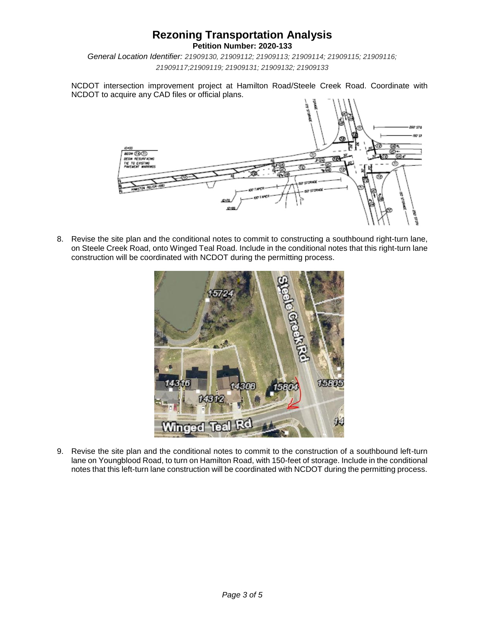**Petition Number: 2020-133**

*General Location Identifier: [21909130, 21909112; 21909113; 21909114; 21909115; 21909116;](https://charlotte-prod-av.accela.com/portlets/parcel/parcelList.do?mode=list&entityType=PARCEL_DAILY&module=Planning&spaceName=spaces.rzp2020133)  [21909117;21909119; 21909131; 21909132; 21909133](https://charlotte-prod-av.accela.com/portlets/parcel/parcelList.do?mode=list&entityType=PARCEL_DAILY&module=Planning&spaceName=spaces.rzp2020133)*

NCDOT intersection improvement project at Hamilton Road/Steele Creek Road. Coordinate with NCDOT to acquire any CAD files or official plans.



8. Revise the site plan and the conditional notes to commit to constructing a southbound right-turn lane, on Steele Creek Road, onto Winged Teal Road. Include in the conditional notes that this right-turn lane construction will be coordinated with NCDOT during the permitting process.



9. Revise the site plan and the conditional notes to commit to the construction of a southbound left-turn lane on Youngblood Road, to turn on Hamilton Road, with 150-feet of storage. Include in the conditional notes that this left-turn lane construction will be coordinated with NCDOT during the permitting process.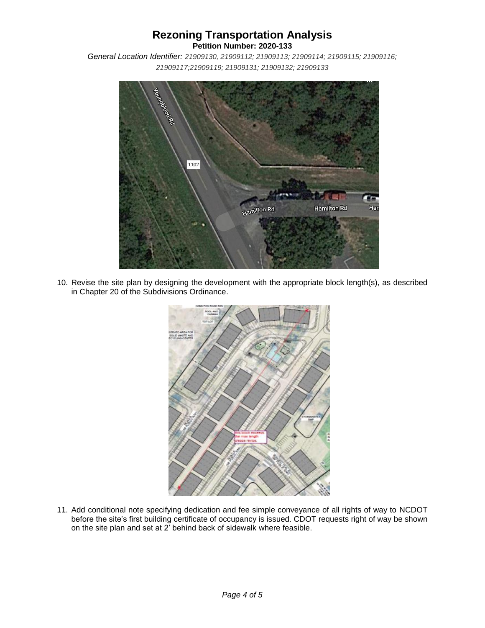**Petition Number: 2020-133**

*General Location Identifier: [21909130, 21909112; 21909113; 21909114; 21909115; 21909116;](https://charlotte-prod-av.accela.com/portlets/parcel/parcelList.do?mode=list&entityType=PARCEL_DAILY&module=Planning&spaceName=spaces.rzp2020133)  [21909117;21909119; 21909131; 21909132; 21909133](https://charlotte-prod-av.accela.com/portlets/parcel/parcelList.do?mode=list&entityType=PARCEL_DAILY&module=Planning&spaceName=spaces.rzp2020133)*



10. Revise the site plan by designing the development with the appropriate block length(s), as described in Chapter 20 of the Subdivisions Ordinance.



11. Add conditional note specifying dedication and fee simple conveyance of all rights of way to NCDOT before the site's first building certificate of occupancy is issued. CDOT requests right of way be shown on the site plan and set at 2' behind back of sidewalk where feasible.